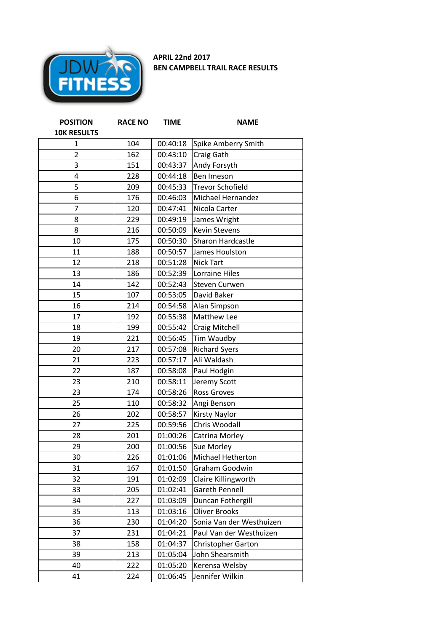

**APRIL 22nd 2017 BEN CAMPBELL TRAIL RACE RESULTS**

| <b>POSITION</b>    | <b>RACE NO</b> | <b>TIME</b> | <b>NAME</b>              |  |
|--------------------|----------------|-------------|--------------------------|--|
| <b>10K RESULTS</b> |                |             |                          |  |
| 1                  | 104            | 00:40:18    | Spike Amberry Smith      |  |
| $\overline{2}$     | 162            | 00:43:10    | Craig Gath               |  |
| 3                  | 151            | 00:43:37    | Andy Forsyth             |  |
| 4                  | 228            | 00:44:18    | Ben Imeson               |  |
| 5                  | 209            | 00:45:33    | <b>Trevor Schofield</b>  |  |
| 6                  | 176            | 00:46:03    | <b>Michael Hernandez</b> |  |
| 7                  | 120            | 00:47:41    | Nicola Carter            |  |
| 8                  | 229            | 00:49:19    | James Wright             |  |
| 8                  | 216            | 00:50:09    | <b>Kevin Stevens</b>     |  |
| 10                 | 175            | 00:50:30    | Sharon Hardcastle        |  |
| 11                 | 188            | 00:50:57    | James Houlston           |  |
| 12                 | 218            | 00:51:28    | <b>Nick Tart</b>         |  |
| 13                 | 186            | 00:52:39    | <b>Lorraine Hiles</b>    |  |
| 14                 | 142            | 00:52:43    | <b>Steven Curwen</b>     |  |
| 15                 | 107            | 00:53:05    | David Baker              |  |
| 16                 | 214            | 00:54:58    | Alan Simpson             |  |
| 17                 | 192            | 00:55:38    | Matthew Lee              |  |
| 18                 | 199            | 00:55:42    | Craig Mitchell           |  |
| 19                 | 221            | 00:56:45    | Tim Waudby               |  |
| 20                 | 217            | 00:57:08    | <b>Richard Syers</b>     |  |
| 21                 | 223            | 00:57:17    | Ali Waldash              |  |
| 22                 | 187            | 00:58:08    | Paul Hodgin              |  |
| 23                 | 210            | 00:58:11    | Jeremy Scott             |  |
| 23                 | 174            | 00:58:26    | <b>Ross Groves</b>       |  |
| 25                 | 110            | 00:58:32    | Angi Benson              |  |
| 26                 | 202            | 00:58:57    | <b>Kirsty Naylor</b>     |  |
| 27                 | 225            | 00:59:56    | Chris Woodall            |  |
| 28                 | 201            | 01:00:26    | Catrina Morley           |  |
| 29                 | 200            | 01:00:56    | Sue Morley               |  |
| 30                 | 226            | 01:01:06    | Michael Hetherton        |  |
| 31                 | 167            | 01:01:50    | Graham Goodwin           |  |
| 32                 | 191            | 01:02:09    | Claire Killingworth      |  |
| 33                 | 205            | 01:02:41    | <b>Gareth Pennell</b>    |  |
| 34                 | 227            | 01:03:09    | Duncan Fothergill        |  |
| 35                 | 113            | 01:03:16    | <b>Oliver Brooks</b>     |  |
| 36                 | 230            | 01:04:20    | Sonia Van der Westhuizen |  |
| 37                 | 231            | 01:04:21    | Paul Van der Westhuizen  |  |
| 38                 | 158            | 01:04:37    | Christopher Garton       |  |
| 39                 | 213            | 01:05:04    | John Shearsmith          |  |
| 40                 | 222            | 01:05:20    | Kerensa Welsby           |  |
| 41                 | 224            | 01:06:45    | Jennifer Wilkin          |  |